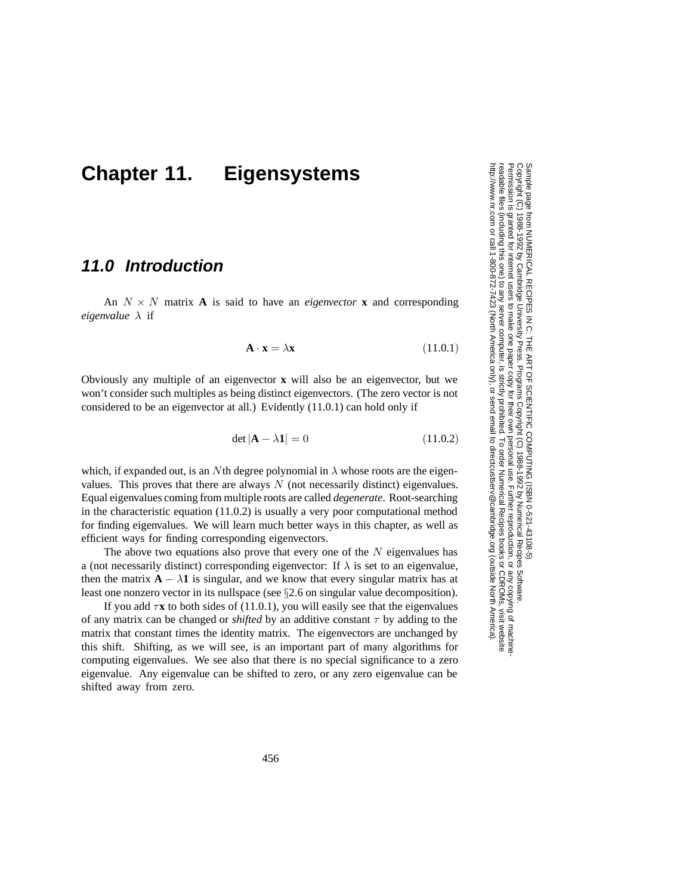# **Chapter 11. Eigensystems**

## **11.0 Introduction**

An  $N \times N$  matrix **A** is said to have an *eigenvector* **x** and corresponding *eigenvalue* λ if

$$
\mathbf{A} \cdot \mathbf{x} = \lambda \mathbf{x} \tag{11.0.1}
$$

Obviously any multiple of an eigenvector **x** will also be an eigenvector, but we won't consider such multiples as being distinct eigenvectors. (The zero vector is not considered to be an eigenvector at all.) Evidently (11.0.1) can hold only if

$$
\det |\mathbf{A} - \lambda \mathbf{1}| = 0 \tag{11.0.2}
$$

which, if expanded out, is an Nth degree polynomial in  $\lambda$  whose roots are the eigenvalues. This proves that there are always  $N$  (not necessarily distinct) eigenvalues. Equal eigenvalues coming from multiple roots are called *degenerate*. Root-searching in the characteristic equation  $(11.0.2)$  is usually a very poor computational method for finding eigenvalues. We will learn much better ways in this chapter, as well as efficient ways for finding corresponding eigenvectors.

The above two equations also prove that every one of the  $N$  eigenvalues has a (not necessarily distinct) corresponding eigenvector: If  $\lambda$  is set to an eigenvalue, then the matrix  $\mathbf{A} - \lambda \mathbf{1}$  is singular, and we know that every singular matrix has at least one nonzero vector in its nullspace (see §2.6 on singular value decomposition).

If you add  $\tau x$  to both sides of (11.0.1), you will easily see that the eigenvalues of any matrix can be changed or *shifted* by an additive constant  $\tau$  by adding to the matrix that constant times the identity matrix. The eigenvectors are unchanged by this shift. Shifting, as we will see, is an important part of many algorithms for computing eigenvalues. We see also that there is no special significance to a zero eigenvalue. Any eigenvalue can be shifted to zero, or any zero eigenvalue can be shifted away from zero.

http://www.nr.com or call 1-800-872-7423 (North America only),readable files (including this one) to any serverPermission is granted for internet users to make one paper copy for their own personal use. Further reproduction, or any copyin Sample page from NUMERICAL RECIPES IN<br>Copyright (C) 1988-1992 by Cambridge Unive Copyright Copyright (C) 1988-1992 by Cambridge University Press.Sample page from NUMERICAL RECIPES IN C: THE ART OF SCIENTIFIC COMPUTING (ISBN 0-521-43108-5) 1988-1992 by Cambridge University Press. Programs Copyright (C) 1988-1992 by Numerical Recipes Software  $\tilde{\Omega}$ computer, is strictly prohibited. To order Numerical Recipes booksTHE ART OF SCIENTIFIC COMPUTING (ISBN 0-521-43108-5) Programs Copyright (C) 1988-1992 by Numerical Recipes Software. or send email to directcustserv@cambridge.org (outside North America). or CDROMs, visit website g of machine-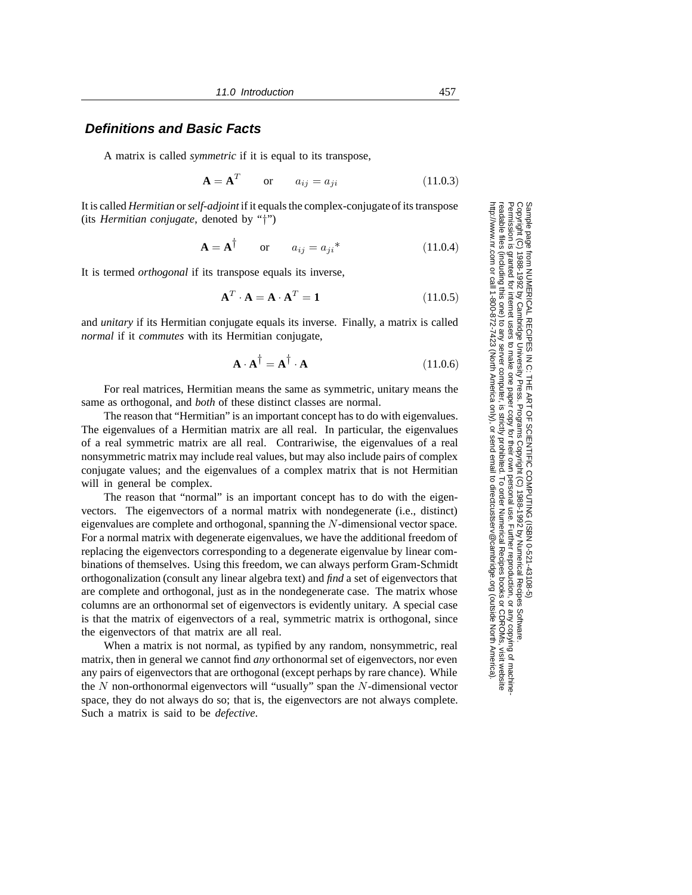#### **Definitions and Basic Facts**

A matrix is called *symmetric* if it is equal to its transpose,

$$
\mathbf{A} = \mathbf{A}^T \qquad \text{or} \qquad a_{ij} = a_{ji} \tag{11.0.3}
$$

It is called *Hermitian* or*self-adjoint* if it equals the complex-conjugateof its transpose (its *Hermitian conjugate*, denoted by "†")

$$
\mathbf{A} = \mathbf{A}^{\dagger} \qquad \text{or} \qquad a_{ij} = a_{ji}^* \tag{11.0.4}
$$

It is termed *orthogonal* if its transpose equals its inverse,

$$
\mathbf{A}^T \cdot \mathbf{A} = \mathbf{A} \cdot \mathbf{A}^T = \mathbf{1}
$$
 (11.0.5)

and *unitary* if its Hermitian conjugate equals its inverse. Finally, a matrix is called *normal* if it *commutes* with its Hermitian conjugate,

$$
\mathbf{A} \cdot \mathbf{A}^{\dagger} = \mathbf{A}^{\dagger} \cdot \mathbf{A} \tag{11.0.6}
$$

For real matrices, Hermitian means the same as symmetric, unitary means the same as orthogonal, and *both* of these distinct classes are normal.

The reason that "Hermitian" is an important concept has to do with eigenvalues. The eigenvalues of a Hermitian matrix are all real. In particular, the eigenvalues of a real symmetric matrix are all real. Contrariwise, the eigenvalues of a real nonsymmetric matrix may include real values, but may also include pairs of complex conjugate values; and the eigenvalues of a complex matrix that is not Hermitian will in general be complex.

The reason that "normal" is an important concept has to do with the eigenvectors. The eigenvectors of a normal matrix with nondegenerate (i.e., distinct) eigenvalues are complete and orthogonal, spanning the N-dimensional vector space. For a normal matrix with degenerate eigenvalues, we have the additional freedom of replacing the eigenvectors corresponding to a degenerate eigenvalue by linear combinations of themselves. Using this freedom, we can always perform Gram-Schmidt orthogonalization (consult any linear algebra text) and *find* a set of eigenvectors that are complete and orthogonal, just as in the nondegenerate case. The matrix whose columns are an orthonormal set of eigenvectors is evidently unitary. A special case is that the matrix of eigenvectors of a real, symmetric matrix is orthogonal, since the eigenvectors of that matrix are all real.

When a matrix is not normal, as typified by any random, nonsymmetric, real matrix, then in general we cannot find *any* orthonormal set of eigenvectors, nor even any pairs of eigenvectors that are orthogonal (except perhaps by rare chance). While the  $N$  non-orthonormal eigenvectors will "usually" span the  $N$ -dimensional vector space, they do not always do so; that is, the eigenvectors are not always complete. Such a matrix is said to be *defective*.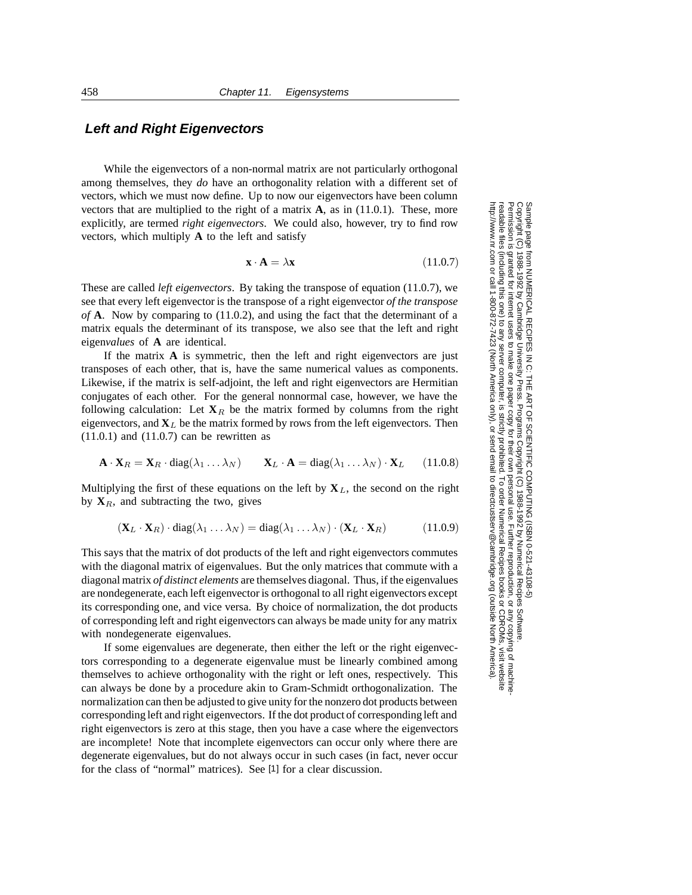#### **Left and Right Eigenvectors**

While the eigenvectors of a non-normal matrix are not particularly orthogonal among themselves, they *do* have an orthogonality relation with a different set of vectors, which we must now define. Up to now our eigenvectors have been column vectors that are multiplied to the right of a matrix **A**, as in (11.0.1). These, more explicitly, are termed *right eigenvectors*. We could also, however, try to find row vectors, which multiply **A** to the left and satisfy

$$
\mathbf{x} \cdot \mathbf{A} = \lambda \mathbf{x} \tag{11.0.7}
$$

These are called *left eigenvectors*. By taking the transpose of equation (11.0.7), we see that every left eigenvector is the transpose of a right eigenvector *of the transpose of* **A**. Now by comparing to (11.0.2), and using the fact that the determinant of a matrix equals the determinant of its transpose, we also see that the left and right eigen*values* of **A** are identical.

If the matrix **A** is symmetric, then the left and right eigenvectors are just transposes of each other, that is, have the same numerical values as components. Likewise, if the matrix is self-adjoint, the left and right eigenvectors are Hermitian conjugates of each other. For the general nonnormal case, however, we have the following calculation: Let  $X_R$  be the matrix formed by columns from the right eigenvectors, and  $X_L$  be the matrix formed by rows from the left eigenvectors. Then  $(11.0.1)$  and  $(11.0.7)$  can be rewritten as

$$
\mathbf{A} \cdot \mathbf{X}_R = \mathbf{X}_R \cdot \text{diag}(\lambda_1 \dots \lambda_N) \qquad \mathbf{X}_L \cdot \mathbf{A} = \text{diag}(\lambda_1 \dots \lambda_N) \cdot \mathbf{X}_L \qquad (11.0.8)
$$

Multiplying the first of these equations on the left by  $X_L$ , the second on the right by  $X_R$ , and subtracting the two, gives

$$
(\mathbf{X}_L \cdot \mathbf{X}_R) \cdot \text{diag}(\lambda_1 \dots \lambda_N) = \text{diag}(\lambda_1 \dots \lambda_N) \cdot (\mathbf{X}_L \cdot \mathbf{X}_R) \tag{11.0.9}
$$

This says that the matrix of dot products of the left and right eigenvectors commutes with the diagonal matrix of eigenvalues. But the only matrices that commute with a diagonal matrix *of distinct elements* are themselves diagonal. Thus, if the eigenvalues are nondegenerate, each left eigenvector is orthogonal to all right eigenvectors except its corresponding one, and vice versa. By choice of normalization, the dot products of corresponding left and right eigenvectors can always be made unity for any matrix with nondegenerate eigenvalues.

If some eigenvalues are degenerate, then either the left or the right eigenvectors corresponding to a degenerate eigenvalue must be linearly combined among themselves to achieve orthogonality with the right or left ones, respectively. This can always be done by a procedure akin to Gram-Schmidt orthogonalization. The normalization can then be adjusted to give unity for the nonzero dot products between corresponding left and right eigenvectors. If the dot product of corresponding left and right eigenvectors is zero at this stage, then you have a case where the eigenvectors are incomplete! Note that incomplete eigenvectors can occur only where there are degenerate eigenvalues, but do not always occur in such cases (in fact, never occur for the class of "normal" matrices). See [1] for a clear discussion.

Sample page fi<br>Copyright (C) 1<br>Permission is g Copyright (C) 1988-1992 by Cambridge University Press.Sample page from NUMERICAL RECIPES IN C: THE ART OF SCIENTIFIC COMPUTING (ISBN 0-521-43108-5) http://www.nr.com or call 1-800-872-7423 (North America only),readable files (including this one) to any serverPermission is granted for internet users to make one paper copy for their own personal use. Further reproduction, or any copyin from NUMERICAL RECIPES IN C. THE ART OF SCIENTIFIC COMPUTING (ISBN 0-521-43108-5)<br>1988-1992 by Cambridge University Press. Programs Copyright (C) 1988-1992 by Numerical Recipes Software. computer, is strictly prohibited. To order Numerical Recipes booksPrograms Copyright (C) 1988-1992 by Numerical Recipes Software. or send email to directcustserv@cambridge.org (outside North America). or CDROMs, visit website g of machine-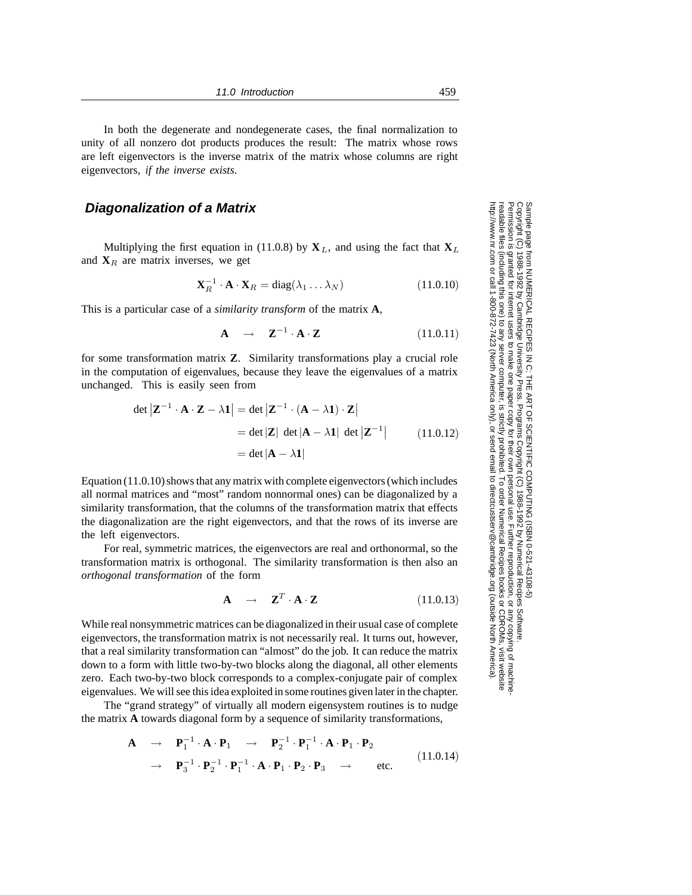In both the degenerate and nondegenerate cases, the final normalization to unity of all nonzero dot products produces the result: The matrix whose rows are left eigenvectors is the inverse matrix of the matrix whose columns are right eigenvectors, *if the inverse exists*.

#### **Diagonalization of a Matrix**

Multiplying the first equation in (11.0.8) by  $X_L$ , and using the fact that  $X_L$ and  $\mathbf{X}_R$  are matrix inverses, we get

$$
\mathbf{X}_R^{-1} \cdot \mathbf{A} \cdot \mathbf{X}_R = \text{diag}(\lambda_1 \dots \lambda_N) \tag{11.0.10}
$$

This is a particular case of a *similarity transform* of the matrix **A**,

$$
\mathbf{A} \quad \rightarrow \quad \mathbf{Z}^{-1} \cdot \mathbf{A} \cdot \mathbf{Z} \tag{11.0.11}
$$

for some transformation matrix **Z**. Similarity transformations play a crucial role in the computation of eigenvalues, because they leave the eigenvalues of a matrix unchanged. This is easily seen from

$$
\det |\mathbf{Z}^{-1} \cdot \mathbf{A} \cdot \mathbf{Z} - \lambda \mathbf{1}| = \det |\mathbf{Z}^{-1} \cdot (\mathbf{A} - \lambda \mathbf{1}) \cdot \mathbf{Z}|
$$
  
= 
$$
\det |\mathbf{Z}| \det |\mathbf{A} - \lambda \mathbf{1}| \det |\mathbf{Z}^{-1}|
$$
(11.0.12)  
= 
$$
\det |\mathbf{A} - \lambda \mathbf{1}|
$$

Equation (11.0.10) shows that any matrix with complete eigenvectors (which includes all normal matrices and "most" random nonnormal ones) can be diagonalized by a similarity transformation, that the columns of the transformation matrix that effects the diagonalization are the right eigenvectors, and that the rows of its inverse are the left eigenvectors.

For real, symmetric matrices, the eigenvectors are real and orthonormal, so the transformation matrix is orthogonal. The similarity transformation is then also an *orthogonal transformation* of the form

$$
\mathbf{A} \quad \rightarrow \quad \mathbf{Z}^T \cdot \mathbf{A} \cdot \mathbf{Z} \tag{11.0.13}
$$

While real nonsymmetric matrices can be diagonalized in their usual case of complete eigenvectors, the transformation matrix is not necessarily real. It turns out, however, that a real similarity transformation can "almost" do the job. It can reduce the matrix down to a form with little two-by-two blocks along the diagonal, all other elements zero. Each two-by-two block corresponds to a complex-conjugate pair of complex eigenvalues. We will see this idea exploited in some routines given later in the chapter.

The "grand strategy" of virtually all modern eigensystem routines is to nudge the matrix **A** towards diagonal form by a sequence of similarity transformations,

$$
\mathbf{A} \rightarrow \mathbf{P}_1^{-1} \cdot \mathbf{A} \cdot \mathbf{P}_1 \rightarrow \mathbf{P}_2^{-1} \cdot \mathbf{P}_1^{-1} \cdot \mathbf{A} \cdot \mathbf{P}_1 \cdot \mathbf{P}_2
$$
\n
$$
\rightarrow \mathbf{P}_3^{-1} \cdot \mathbf{P}_2^{-1} \cdot \mathbf{P}_1^{-1} \cdot \mathbf{A} \cdot \mathbf{P}_1 \cdot \mathbf{P}_2 \cdot \mathbf{P}_3 \rightarrow \text{etc.} \tag{11.0.14}
$$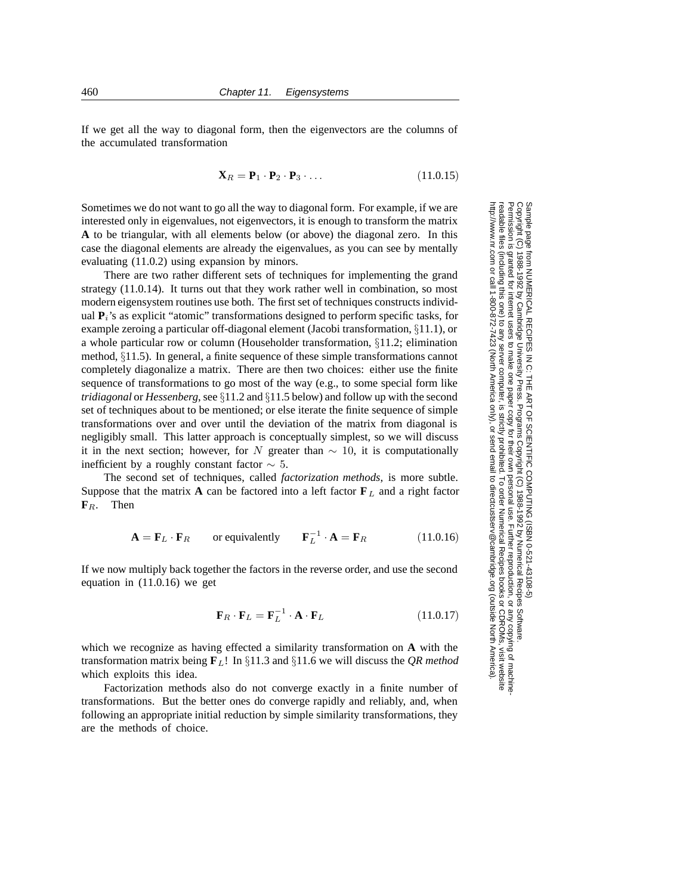If we get all the way to diagonal form, then the eigenvectors are the columns of the accumulated transformation

$$
\mathbf{X}_R = \mathbf{P}_1 \cdot \mathbf{P}_2 \cdot \mathbf{P}_3 \cdot \dots \tag{11.0.15}
$$

Sometimes we do not want to go all the way to diagonal form. For example, if we are interested only in eigenvalues, not eigenvectors, it is enough to transform the matrix **A** to be triangular, with all elements below (or above) the diagonal zero. In this case the diagonal elements are already the eigenvalues, as you can see by mentally evaluating (11.0.2) using expansion by minors.

There are two rather different sets of techniques for implementing the grand strategy (11.0.14). It turns out that they work rather well in combination, so most modern eigensystem routines use both. The first set of techniques constructs individual  $P_i$ 's as explicit "atomic" transformations designed to perform specific tasks, for example zeroing a particular off-diagonal element (Jacobi transformation, §11.1), or a whole particular row or column (Householder transformation, §11.2; elimination method, §11.5). In general, a finite sequence of these simple transformations cannot completely diagonalize a matrix. There are then two choices: either use the finite sequence of transformations to go most of the way (e.g., to some special form like *tridiagonal* or *Hessenberg*, see §11.2 and §11.5 below) and follow up with the second set of techniques about to be mentioned; or else iterate the finite sequence of simple transformations over and over until the deviation of the matrix from diagonal is negligibly small. This latter approach is conceptually simplest, so we will discuss it in the next section; however, for N greater than  $\sim 10$ , it is computationally inefficient by a roughly constant factor  $\sim$  5.

The second set of techniques, called *factorization methods*, is more subtle. Suppose that the matrix **A** can be factored into a left factor  $\mathbf{F}_L$  and a right factor **F***R*. Then

$$
\mathbf{A} = \mathbf{F}_L \cdot \mathbf{F}_R \qquad \text{or equivalently} \qquad \mathbf{F}_L^{-1} \cdot \mathbf{A} = \mathbf{F}_R \tag{11.0.16}
$$

If we now multiply back together the factors in the reverse order, and use the second equation in (11.0.16) we get

$$
\mathbf{F}_R \cdot \mathbf{F}_L = \mathbf{F}_L^{-1} \cdot \mathbf{A} \cdot \mathbf{F}_L \tag{11.0.17}
$$

which we recognize as having effected a similarity transformation on **A** with the transformation matrix being **F***L*! In §11.3 and §11.6 we will discuss the *QR method* which exploits this idea.

Factorization methods also do not converge exactly in a finite number of transformations. But the better ones do converge rapidly and reliably, and, when following an appropriate initial reduction by simple similarity transformations, they are the methods of choice.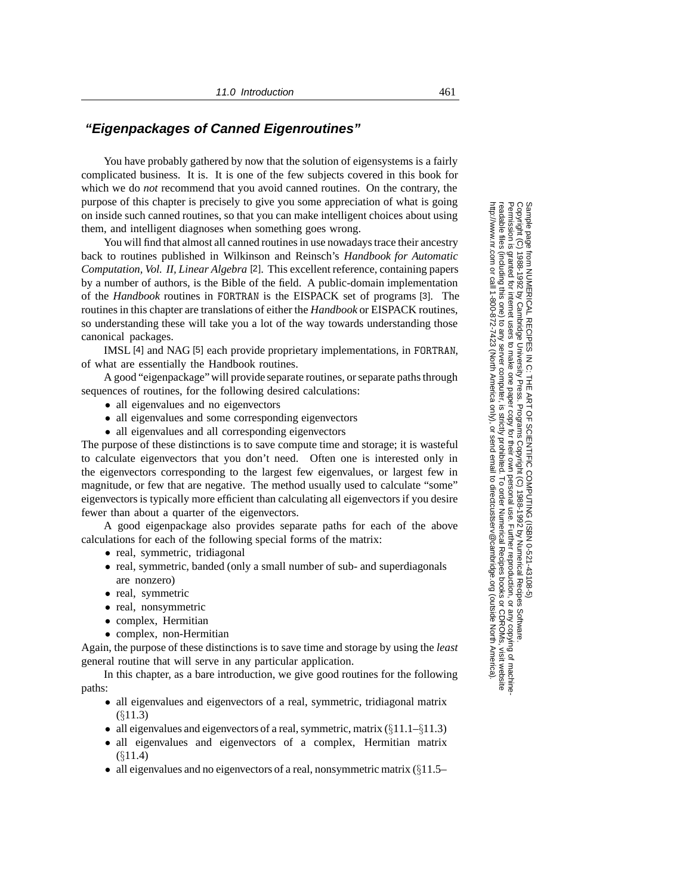### **"Eigenpackages of Canned Eigenroutines"**

You have probably gathered by now that the solution of eigensystems is a fairly complicated business. It is. It is one of the few subjects covered in this book for which we do *not* recommend that you avoid canned routines. On the contrary, the purpose of this chapter is precisely to give you some appreciation of what is going on inside such canned routines, so that you can make intelligent choices about using them, and intelligent diagnoses when something goes wrong.

You will find that almost all canned routines in use nowadays trace their ancestry back to routines published in Wilkinson and Reinsch's *Handbook for Automatic Computation, Vol. II, Linear Algebra* [2]. This excellent reference, containing papers by a number of authors, is the Bible of the field. A public-domain implementation of the *Handbook* routines in FORTRAN is the EISPACK set of programs [3]. The routines in this chapter are translations of either the *Handbook* or EISPACK routines, so understanding these will take you a lot of the way towards understanding those canonical packages.

IMSL [4] and NAG [5] each provide proprietary implementations, in FORTRAN, of what are essentially the Handbook routines.

A good "eigenpackage" will provide separate routines, or separate paths through sequences of routines, for the following desired calculations:

- all eigenvalues and no eigenvectors
- all eigenvalues and some corresponding eigenvectors
- all eigenvalues and all corresponding eigenvectors

The purpose of these distinctions is to save compute time and storage; it is wasteful to calculate eigenvectors that you don't need. Often one is interested only in the eigenvectors corresponding to the largest few eigenvalues, or largest few in magnitude, or few that are negative. The method usually used to calculate "some" eigenvectors is typically more efficient than calculating all eigenvectors if you desire fewer than about a quarter of the eigenvectors.

A good eigenpackage also provides separate paths for each of the above calculations for each of the following special forms of the matrix:

- real, symmetric, tridiagonal
- real, symmetric, banded (only a small number of sub- and superdiagonals are nonzero)
- real, symmetric
- real, nonsymmetric
- complex, Hermitian
- complex, non-Hermitian

Again, the purpose of these distinctions is to save time and storage by using the *least* general routine that will serve in any particular application.

In this chapter, as a bare introduction, we give good routines for the following paths:

- all eigenvalues and eigenvectors of a real, symmetric, tridiagonal matrix (§11.3)
- all eigenvalues and eigenvectors of a real, symmetric, matrix  $(\S 11.1 \S 11.3)$
- all eigenvalues and eigenvectors of a complex, Hermitian matrix (§11.4)
- all eigenvalues and no eigenvectors of a real, nonsymmetric matrix  $(\S11.5-$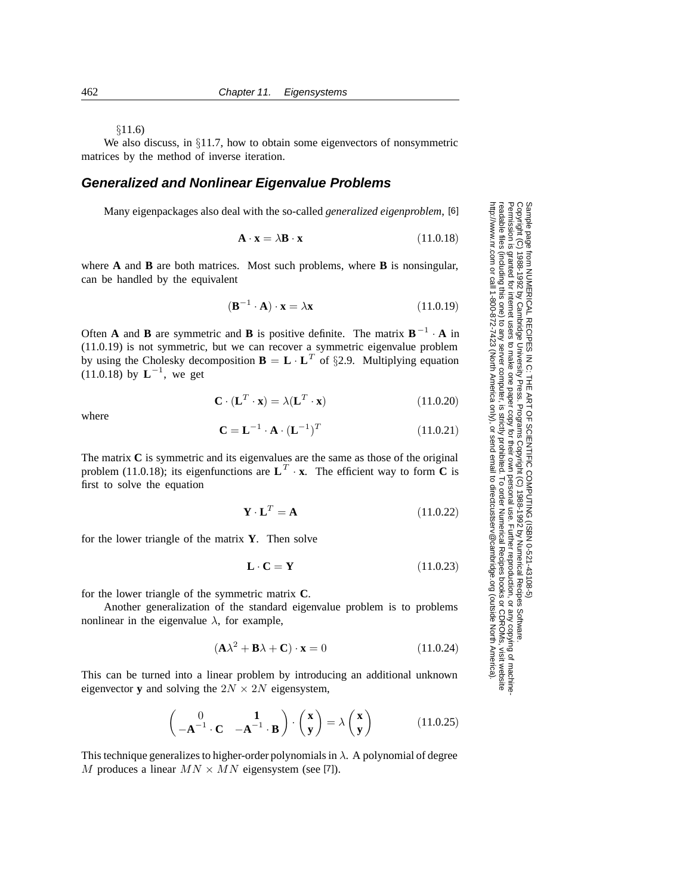#### §11.6)

We also discuss, in §11.7, how to obtain some eigenvectors of nonsymmetric matrices by the method of inverse iteration.

### **Generalized and Nonlinear Eigenvalue Problems**

Many eigenpackages also deal with the so-called *generalized eigenproblem*, [6]

$$
\mathbf{A} \cdot \mathbf{x} = \lambda \mathbf{B} \cdot \mathbf{x} \tag{11.0.18}
$$

where **A** and **B** are both matrices. Most such problems, where **B** is nonsingular, can be handled by the equivalent

$$
(\mathbf{B}^{-1} \cdot \mathbf{A}) \cdot \mathbf{x} = \lambda \mathbf{x} \tag{11.0.19}
$$

Often **A** and **B** are symmetric and **B** is positive definite. The matrix  $\mathbf{B}^{-1} \cdot \mathbf{A}$  in (11.0.19) is not symmetric, but we can recover a symmetric eigenvalue problem by using the Cholesky decomposition  $\mathbf{B} = \mathbf{L} \cdot \mathbf{L}^T$  of §2.9. Multiplying equation  $(11.0.18)$  by **, we get** 

$$
\mathbf{C} \cdot (\mathbf{L}^T \cdot \mathbf{x}) = \lambda (\mathbf{L}^T \cdot \mathbf{x}) \tag{11.0.20}
$$

where

$$
\mathbf{C} = \mathbf{L}^{-1} \cdot \mathbf{A} \cdot (\mathbf{L}^{-1})^T \tag{11.0.21}
$$

The matrix **C** is symmetric and its eigenvalues are the same as those of the original problem (11.0.18); its eigenfunctions are  $L^T \cdot x$ . The efficient way to form **C** is first to solve the equation

$$
\mathbf{Y} \cdot \mathbf{L}^T = \mathbf{A} \tag{11.0.22}
$$

for the lower triangle of the matrix **Y**. Then solve

$$
\mathbf{L} \cdot \mathbf{C} = \mathbf{Y} \tag{11.0.23}
$$

for the lower triangle of the symmetric matrix **C**.

Another generalization of the standard eigenvalue problem is to problems nonlinear in the eigenvalue  $\lambda$ , for example,

$$
(\mathbf{A}\lambda^2 + \mathbf{B}\lambda + \mathbf{C}) \cdot \mathbf{x} = 0 \tag{11.0.24}
$$

This can be turned into a linear problem by introducing an additional unknown eigenvector **y** and solving the  $2N \times 2N$  eigensystem,

$$
\begin{pmatrix} 0 & \mathbf{1} \\ -\mathbf{A}^{-1} \cdot \mathbf{C} & -\mathbf{A}^{-1} \cdot \mathbf{B} \end{pmatrix} \cdot \begin{pmatrix} \mathbf{x} \\ \mathbf{y} \end{pmatrix} = \lambda \begin{pmatrix} \mathbf{x} \\ \mathbf{y} \end{pmatrix}
$$
(11.0.25)

This technique generalizes to higher-order polynomials in  $\lambda$ . A polynomial of degree M produces a linear  $MN \times MN$  eigensystem (see [7]).

Sample page 1<br>Copyright (C) Copyright (C) 1988-1992 by Cambridge University Press.Sample page from NUMERICAL RECIPES IN C: THE ART OF SCIENTIFIC COMPUTING (ISBN 0-521-43108-5) http://www.nr.com or call 1-800-872-7423 (North America only),readable files (including this one) to any serverPermission is granted for internet users to make one paper copy for their own personal use. Further reproduction, or any copyin from NUMERICAL RECIPES IN C: THE 1988-1992 by Cambridge University Press. Programs Copyright (C) computer, is strictly prohibited. To order Numerical Recipes booksART OF SCIENTIFIC COMPUTING (ISBN 0-521-43108-5 Programs Copyright (C) 1988-1992 by Numerical Recipes Software. or send email to directcustserv@cambridge.org (outside North America). 1988-1992 by Numerical Recipes Software or CDROMs, visit website g of machine